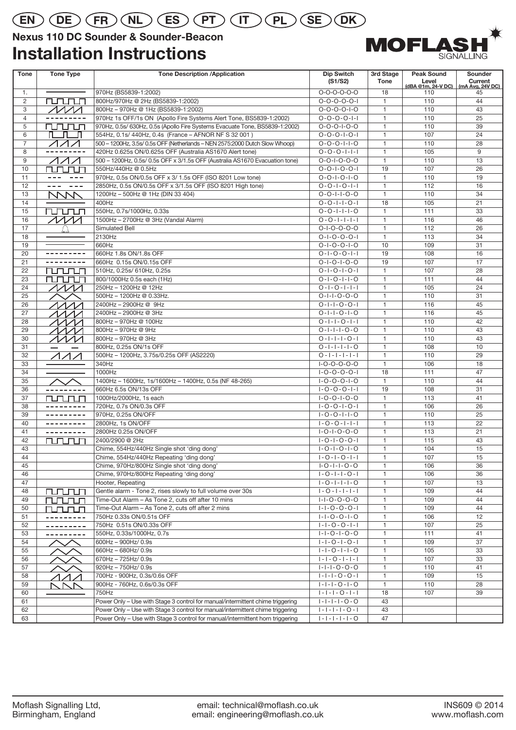## **EN DE FR NL ES PT IT PL SE DK**

### **Nexus 110 DC Sounder & Sounder-Beacon**

### **Installation Instructions**



| <b>Tone</b>    | <b>Tone Type</b>                                                                                                                                                                                                                                                                                                                                                                                                                                                                                                                                                                                                                                                                                                                                                                             | <b>Tone Description /Application</b>                                           | <b>Dip Switch</b><br>(S1/S2)                       | 3rd Stage<br><b>Tone</b>     | <b>Peak Sound</b><br>Level | Sounder<br>Current     |
|----------------|----------------------------------------------------------------------------------------------------------------------------------------------------------------------------------------------------------------------------------------------------------------------------------------------------------------------------------------------------------------------------------------------------------------------------------------------------------------------------------------------------------------------------------------------------------------------------------------------------------------------------------------------------------------------------------------------------------------------------------------------------------------------------------------------|--------------------------------------------------------------------------------|----------------------------------------------------|------------------------------|----------------------------|------------------------|
| 1.             |                                                                                                                                                                                                                                                                                                                                                                                                                                                                                                                                                                                                                                                                                                                                                                                              | 970Hz (BS5839-1:2002)                                                          | $O-O-O-O-O-O$                                      | 18                           | (dBA @1m, 24-V DC)<br>110  | (mA Avg, 24V DC)<br>45 |
| $\overline{2}$ | rurum                                                                                                                                                                                                                                                                                                                                                                                                                                                                                                                                                                                                                                                                                                                                                                                        | 800Hz/970Hz @ 2Hz (BS5839-1:2002)                                              | $0 - 0 - 0 - 0 - 1$                                | $\mathbf{1}$                 | 110                        | 44                     |
| 3              | $\sqrt{M}$                                                                                                                                                                                                                                                                                                                                                                                                                                                                                                                                                                                                                                                                                                                                                                                   | 800Hz - 970Hz @ 1Hz (BS5839-1:2002)                                            | $0 - 0 - 0 - 0 - 1 - 0$                            | $\mathbf{1}$                 | 110                        | 43                     |
| $\overline{4}$ |                                                                                                                                                                                                                                                                                                                                                                                                                                                                                                                                                                                                                                                                                                                                                                                              | 970Hz 1s OFF/1s ON (Apollo Fire Systems Alert Tone, BS5839-1:2002)             | $0 - 0 - 0 - 0 - 1 - 1$                            | $\mathbf{1}$                 | 110                        | 25                     |
| 5              | rurun                                                                                                                                                                                                                                                                                                                                                                                                                                                                                                                                                                                                                                                                                                                                                                                        | 970Hz, 0.5s/ 630Hz, 0.5s (Apollo Fire Systems Evacuate Tone, BS5839-1:2002)    | $0 - 0 - 0 - 1 - 0 - 0$                            | $\mathbf{1}$                 | 110                        | 39                     |
| 6              | $\mathsf{n}\_ \mathsf{n}$                                                                                                                                                                                                                                                                                                                                                                                                                                                                                                                                                                                                                                                                                                                                                                    | 554Hz, 0.1s/ 440Hz, 0.4s (France - AFNOR NF S 32 001)                          | $0 - 0 - 0 - 1 - 0 - 1$                            | $\mathbf{1}$                 | 107                        | 24                     |
| $\overline{7}$ | イイイ                                                                                                                                                                                                                                                                                                                                                                                                                                                                                                                                                                                                                                                                                                                                                                                          | 500 - 1200Hz, 3.5s/ 0.5s OFF (Netherlands - NEN 2575:2000 Dutch Slow Whoop)    | $0 - 0 - 0 - 1 - 1 - 0$                            | $\mathbf{1}$                 | 110                        | 28                     |
| 8              |                                                                                                                                                                                                                                                                                                                                                                                                                                                                                                                                                                                                                                                                                                                                                                                              | 420Hz 0.625s ON/0.625s OFF (Australia AS1670 Alert tone)                       | $0 - 0 - 0 - 1 - 1 - 1$                            | $\mathbf{1}$                 | 105                        | 9                      |
| 9              | ハイオ                                                                                                                                                                                                                                                                                                                                                                                                                                                                                                                                                                                                                                                                                                                                                                                          | 500 - 1200Hz, 0.5s/ 0.5s OFF x 3/1.5s OFF (Australia AS1670 Evacuation tone)   | $0 - 0 - 1 - 0 - 0 - 0$                            | $\mathbf{1}$                 | 110                        | 13                     |
| 10             | rurun                                                                                                                                                                                                                                                                                                                                                                                                                                                                                                                                                                                                                                                                                                                                                                                        | 550Hz/440Hz @ 0.5Hz                                                            | $0 - 0 - 1 - 0 - 0 - 1$                            | 19                           | 107                        | 26                     |
| 11             |                                                                                                                                                                                                                                                                                                                                                                                                                                                                                                                                                                                                                                                                                                                                                                                              | 970Hz, 0.5s ON/0.5s OFF x 3/ 1.5s OFF (ISO 8201 Low tone)                      | $0 - 0 - 1 - 0 - 1 - 0$                            | $\mathbf{1}$                 | 110                        | 19                     |
| 12             | $\frac{1}{2} \frac{1}{2} \frac{1}{2} \frac{1}{2} \frac{1}{2} \frac{1}{2} \frac{1}{2} \frac{1}{2} \frac{1}{2} \frac{1}{2} \frac{1}{2} \frac{1}{2} \frac{1}{2} \frac{1}{2} \frac{1}{2} \frac{1}{2} \frac{1}{2} \frac{1}{2} \frac{1}{2} \frac{1}{2} \frac{1}{2} \frac{1}{2} \frac{1}{2} \frac{1}{2} \frac{1}{2} \frac{1}{2} \frac{1}{2} \frac{1}{2} \frac{1}{2} \frac{1}{2} \frac{1}{2} \frac{$<br>$\frac{1}{2} \frac{1}{2} \frac{1}{2} \frac{1}{2} \frac{1}{2} \frac{1}{2} \frac{1}{2} \frac{1}{2} \frac{1}{2} \frac{1}{2} \frac{1}{2} \frac{1}{2} \frac{1}{2} \frac{1}{2} \frac{1}{2} \frac{1}{2} \frac{1}{2} \frac{1}{2} \frac{1}{2} \frac{1}{2} \frac{1}{2} \frac{1}{2} \frac{1}{2} \frac{1}{2} \frac{1}{2} \frac{1}{2} \frac{1}{2} \frac{1}{2} \frac{1}{2} \frac{1}{2} \frac{1}{2} \frac{$ | 2850Hz, 0.5s ON/0.5s OFF x 3/1.5s OFF (ISO 8201 High tone)                     | $0 - 0 - 1 - 0 - 1 - 1$                            | $\mathbf{1}$                 | 112                        | 16                     |
| 13             | <b>NVV</b>                                                                                                                                                                                                                                                                                                                                                                                                                                                                                                                                                                                                                                                                                                                                                                                   | 1200Hz - 500Hz @ 1Hz (DIN 33 404)                                              | $0 - 0 - 1 - 1 - 0 - 0$                            | $\mathbf{1}$                 | 110                        | 34                     |
| 14             |                                                                                                                                                                                                                                                                                                                                                                                                                                                                                                                                                                                                                                                                                                                                                                                              | 400Hz                                                                          | $0 - 0 - 1 - 1 - 0 - 1$                            | 18                           | 105                        | 21                     |
| 15             | rurun                                                                                                                                                                                                                                                                                                                                                                                                                                                                                                                                                                                                                                                                                                                                                                                        | 550Hz, 0.7s/1000Hz, 0.33s                                                      | $0 - 0 - 1 - 1 - 1 - 0$                            | $\mathbf{1}$                 | 111                        | 33                     |
| 16             | $\cal{M}$                                                                                                                                                                                                                                                                                                                                                                                                                                                                                                                                                                                                                                                                                                                                                                                    | 1500Hz - 2700Hz @ 3Hz (Vandal Alarm)                                           | $0 - 0 - 1 - 1 - 1 - 1$                            | $\mathbf{1}$                 | 116                        | 46                     |
| 17             |                                                                                                                                                                                                                                                                                                                                                                                                                                                                                                                                                                                                                                                                                                                                                                                              | Simulated Bell                                                                 | $0 - 1 - 0 - 0 - 0 - 0$                            | $\mathbf{1}$                 | 112                        | 26                     |
| 18             |                                                                                                                                                                                                                                                                                                                                                                                                                                                                                                                                                                                                                                                                                                                                                                                              | 2130Hz                                                                         | $0 - 1 - 0 - 0 - 0 - 1$                            | $\mathbf{1}$                 | 113                        | 34                     |
| 19             |                                                                                                                                                                                                                                                                                                                                                                                                                                                                                                                                                                                                                                                                                                                                                                                              | 660Hz                                                                          | $0 - 1 - 0 - 0 - 1 - 0$                            | 10                           | 109                        | 31                     |
| 20             |                                                                                                                                                                                                                                                                                                                                                                                                                                                                                                                                                                                                                                                                                                                                                                                              | 660Hz 1.8s ON/1.8s OFF                                                         | $0 - 1 - 0 - 0 - 1 - 1$                            | 19                           | 108                        | 16                     |
| 21             |                                                                                                                                                                                                                                                                                                                                                                                                                                                                                                                                                                                                                                                                                                                                                                                              | 660Hz 0.15s ON/0.15s OFF                                                       | $0 - 1 - 0 - 1 - 0 - 0$                            | 19                           | 107                        | 17                     |
| 22             | <b>NUNUNI</b>                                                                                                                                                                                                                                                                                                                                                                                                                                                                                                                                                                                                                                                                                                                                                                                | 510Hz, 0.25s/ 610Hz, 0.25s                                                     | $0 - 1 - 0 - 1 - 0 - 1$                            | $\mathbf{1}$                 | 107                        | 28                     |
| 23             | rurun                                                                                                                                                                                                                                                                                                                                                                                                                                                                                                                                                                                                                                                                                                                                                                                        | 800/1000Hz 0.5s each (1Hz)                                                     | $0 - 1 - 0 - 1 - 1 - 0$                            | $\mathbf{1}$                 | 111                        | 44                     |
| 24             | $\mathcal{M}\mathcal{M}$                                                                                                                                                                                                                                                                                                                                                                                                                                                                                                                                                                                                                                                                                                                                                                     | 250Hz - 1200Hz @ 12Hz                                                          | $0 - 1 - 0 - 1 - 1 - 1$                            | $\mathbf{1}$                 | 105                        | 24                     |
| 25             |                                                                                                                                                                                                                                                                                                                                                                                                                                                                                                                                                                                                                                                                                                                                                                                              | 500Hz - 1200Hz @ 0.33Hz.                                                       | $0 - 1 - 1 - 0 - 0 - 0$                            | $\mathbf{1}$                 | 110                        | 31                     |
| 26             | $\Lambda\Lambda\Lambda$                                                                                                                                                                                                                                                                                                                                                                                                                                                                                                                                                                                                                                                                                                                                                                      | 2400Hz - 2900Hz @ 9Hz                                                          | $0 - 1 - 1 - 0 - 0 - 1$                            | $\mathbf{1}$                 | 116                        | 45                     |
| 27             | ヘヘヘノ                                                                                                                                                                                                                                                                                                                                                                                                                                                                                                                                                                                                                                                                                                                                                                                         | 2400Hz - 2900Hz @ 3Hz                                                          | $0 - 1 - 1 - 0 - 1 - 0$                            | $\mathbf{1}$                 | 116                        | 45                     |
| 28             | ヘヘヘ/                                                                                                                                                                                                                                                                                                                                                                                                                                                                                                                                                                                                                                                                                                                                                                                         | 800Hz - 970Hz @ 100Hz                                                          | $0 - 1 - 1 - 0 - 1 - 1$                            | $\mathbf{1}$                 | 110                        | 42                     |
| 29             | ヘヘヘ                                                                                                                                                                                                                                                                                                                                                                                                                                                                                                                                                                                                                                                                                                                                                                                          | 800Hz - 970Hz @ 9Hz                                                            | $0 - 1 - 1 - 1 - 0 - 0$                            | $\mathbf{1}$                 | 110                        | 43                     |
| 30             | ヘヘヘノ                                                                                                                                                                                                                                                                                                                                                                                                                                                                                                                                                                                                                                                                                                                                                                                         | 800Hz - 970Hz @ 3Hz                                                            | $0 - 1 - 1 - 1 - 0 - 1$                            | $\mathbf{1}$                 | 110                        | 43                     |
| 31             |                                                                                                                                                                                                                                                                                                                                                                                                                                                                                                                                                                                                                                                                                                                                                                                              | 800Hz, 0.25s ON/1s OFF                                                         | $0 - 1 - 1 - 1 - 0$                                | $\mathbf{1}$                 | 108                        | 10                     |
| 32             | イイ/                                                                                                                                                                                                                                                                                                                                                                                                                                                                                                                                                                                                                                                                                                                                                                                          | 500Hz - 1200Hz, 3.75s/0.25s OFF (AS2220)                                       | $0 - 1 - 1 - 1 - 1 - 1$                            | $\mathbf{1}$                 | 110                        | 29                     |
| 33             |                                                                                                                                                                                                                                                                                                                                                                                                                                                                                                                                                                                                                                                                                                                                                                                              | 340Hz                                                                          | $I-O-O-O-O-O$                                      | $\mathbf{1}$                 | 106                        | 18                     |
| 34             |                                                                                                                                                                                                                                                                                                                                                                                                                                                                                                                                                                                                                                                                                                                                                                                              | 1000Hz                                                                         | $1 - 0 - 0 - 0 - 0 - 1$                            | 18                           | 111                        | 47                     |
| 35             |                                                                                                                                                                                                                                                                                                                                                                                                                                                                                                                                                                                                                                                                                                                                                                                              | 1400Hz - 1600Hz, 1s/1600Hz - 1400Hz, 0.5s (NF 48-265)                          | $1 - 0 - 0 - 0 - 1 - 0$                            | $\mathbf{1}$                 | 110                        | 44                     |
| 36             | ---------                                                                                                                                                                                                                                                                                                                                                                                                                                                                                                                                                                                                                                                                                                                                                                                    | 660Hz 6.5s ON/13s OFF                                                          | $1 - 0 - 0 - 0 - 1 - 1$                            | 19                           | 108                        | 31                     |
| 37             | runun                                                                                                                                                                                                                                                                                                                                                                                                                                                                                                                                                                                                                                                                                                                                                                                        | 1000Hz/2000Hz, 1s each                                                         | $1 - 0 - 0 - 1 - 0 - 0$                            | $\mathbf{1}$                 | 113                        | 41                     |
| 38             |                                                                                                                                                                                                                                                                                                                                                                                                                                                                                                                                                                                                                                                                                                                                                                                              | 720Hz, 0.7s ON/0.3s OFF                                                        | $1 - 0 - 0 - 1 - 0 - 1$                            | $\mathbf{1}$                 | 106                        | 26                     |
| 39             | ---------                                                                                                                                                                                                                                                                                                                                                                                                                                                                                                                                                                                                                                                                                                                                                                                    | 970Hz, 0.25s ON/OFF                                                            | $1 - 0 - 0 - 1 - 1 - 0$                            | $\mathbf{1}$                 | 110                        | 25                     |
| 40             | ---------                                                                                                                                                                                                                                                                                                                                                                                                                                                                                                                                                                                                                                                                                                                                                                                    | 2800Hz, 1s ON/OFF                                                              | $1 - 0 - 0 - 1 - 1 - 1$                            | $\mathbf{1}$                 | 113                        | 22                     |
| 41             | ---------                                                                                                                                                                                                                                                                                                                                                                                                                                                                                                                                                                                                                                                                                                                                                                                    | 2800Hz 0.25s ON/OFF                                                            | $1 - 0 - 1 - 0 - 0 - 0$                            | $\mathbf{1}$                 | 113                        | 21                     |
| 42             | rurun                                                                                                                                                                                                                                                                                                                                                                                                                                                                                                                                                                                                                                                                                                                                                                                        | 2400/2900 @ 2Hz                                                                | $1 - 0 - 1 - 0 - 0 - 1$                            | $\mathbf{1}$                 | 115                        | 43                     |
| 43             |                                                                                                                                                                                                                                                                                                                                                                                                                                                                                                                                                                                                                                                                                                                                                                                              | Chime, 554Hz/440Hz Single shot 'ding dong'                                     | $1 - 0 - 1 - 0 - 1 - 0$                            | $\mathbf{1}$                 | 104                        | 15                     |
| 44             |                                                                                                                                                                                                                                                                                                                                                                                                                                                                                                                                                                                                                                                                                                                                                                                              | Chime, 554Hz/440Hz Repeating 'ding dong'                                       | $1 - 0 - 1 - 0 - 1 - 1$                            | $\mathbf{1}$                 | 107                        | 15                     |
| 45             |                                                                                                                                                                                                                                                                                                                                                                                                                                                                                                                                                                                                                                                                                                                                                                                              | Chime, 970Hz/800Hz Single shot 'ding dong'                                     | $I - O - I - I - O - O$                            | $\mathbf{1}$                 | 106                        | 36                     |
| 46             |                                                                                                                                                                                                                                                                                                                                                                                                                                                                                                                                                                                                                                                                                                                                                                                              | Chime, 970Hz/800Hz Repeating 'ding dong'                                       | $1 - 0 - 1 - 1 - 0 - 1$                            | $\mathbf{1}$                 | 106                        | 36                     |
| 47             |                                                                                                                                                                                                                                                                                                                                                                                                                                                                                                                                                                                                                                                                                                                                                                                              | Hooter, Repeating                                                              | $1 - 0 - 1 - 1 - 1 - 0$                            | $\mathbf{1}$                 | 107                        | 13                     |
| 48             | <u>runun</u>                                                                                                                                                                                                                                                                                                                                                                                                                                                                                                                                                                                                                                                                                                                                                                                 | Gentle alarm - Tone 2, rises slowly to full volume over 30s                    | $1 - 0 - 1 - 1 - 1 - 1$                            | $\mathbf{1}$                 | 109                        | 44                     |
| 49             | rurum                                                                                                                                                                                                                                                                                                                                                                                                                                                                                                                                                                                                                                                                                                                                                                                        | Time-Out Alarm - As Tone 2, cuts off after 10 mins                             | $1 - 1 - 0 - 0 - 0 - 0$                            | $\mathbf{1}$                 | 109                        | 44                     |
| 50             | runun                                                                                                                                                                                                                                                                                                                                                                                                                                                                                                                                                                                                                                                                                                                                                                                        | Time-Out Alarm - As Tone 2, cuts off after 2 mins                              | $1 - 1 - 0 - 0 - 0 - 1$                            | $\mathbf{1}$                 | 109                        | 44                     |
| 51             |                                                                                                                                                                                                                                                                                                                                                                                                                                                                                                                                                                                                                                                                                                                                                                                              | 750Hz 0.33s ON/0.51s OFF                                                       | $1 - 1 - 0 - 0 - 1 - 0$                            | $\mathbf{1}$                 | 106                        | 12                     |
| 52             |                                                                                                                                                                                                                                                                                                                                                                                                                                                                                                                                                                                                                                                                                                                                                                                              | 750Hz 0.51s ON/0.33s OFF                                                       | $1 - 1 - 0 - 0 - 1 - 1$                            | $\mathbf{1}$                 | 107                        | 25                     |
| 53<br>54       | ---------                                                                                                                                                                                                                                                                                                                                                                                                                                                                                                                                                                                                                                                                                                                                                                                    | 550Hz, 0.33s/1000Hz, 0.7s<br>600Hz - 900Hz/ 0.9s                               | $1 - 1 - 0 - 1 - 0 - 0$<br>$1 - 1 - 0 - 1 - 0 - 1$ | $\mathbf{1}$<br>$\mathbf{1}$ | 111<br>109                 | 41<br>37               |
|                |                                                                                                                                                                                                                                                                                                                                                                                                                                                                                                                                                                                                                                                                                                                                                                                              |                                                                                |                                                    | $\mathbf{1}$                 |                            |                        |
| 55             |                                                                                                                                                                                                                                                                                                                                                                                                                                                                                                                                                                                                                                                                                                                                                                                              | 660Hz - 680Hz/ 0.9s<br>670Hz - 725Hz/ 0.9s                                     | $1 - 1 - 0 - 1 - 1 - 0$<br>$1 - 1 - 0 - 1 - 1 - 1$ | $\mathbf{1}$                 | 105<br>107                 | 33                     |
| 56<br>57       |                                                                                                                                                                                                                                                                                                                                                                                                                                                                                                                                                                                                                                                                                                                                                                                              | 920Hz - 750Hz/ 0.9s                                                            | $1 - 1 - 1 - 0 - 0 - 0$                            | $\mathbf{1}$                 | 110                        | 33<br>41               |
| 58             |                                                                                                                                                                                                                                                                                                                                                                                                                                                                                                                                                                                                                                                                                                                                                                                              | 700Hz - 900Hz, 0.3s/0.6s OFF                                                   | $1 - 1 - 1 - 0 - 0 - 1$                            | $\mathbf{1}$                 | 109                        | 15                     |
| 59             | $\angle$                                                                                                                                                                                                                                                                                                                                                                                                                                                                                                                                                                                                                                                                                                                                                                                     | 900Hz - 760Hz, 0.6s/0.3s OFF                                                   | $ - - -0- -0$                                      | $\mathbf{1}$                 | 110                        | 28                     |
| 60             | NNN                                                                                                                                                                                                                                                                                                                                                                                                                                                                                                                                                                                                                                                                                                                                                                                          | 750Hz                                                                          | $ - - -0- - $                                      | 18                           | 107                        | 39                     |
| 61             |                                                                                                                                                                                                                                                                                                                                                                                                                                                                                                                                                                                                                                                                                                                                                                                              | Power Only - Use with Stage 3 control for manual/intermittent chime triggering | $1 - 1 - 1 - 1 - 0 - 0$                            | 43                           |                            |                        |
| 62             |                                                                                                                                                                                                                                                                                                                                                                                                                                                                                                                                                                                                                                                                                                                                                                                              | Power Only - Use with Stage 3 control for manual/intermittent chime triggering | $1 - 1 - 1 - 1 - 0 - 1$                            | 43                           |                            |                        |
| 63             |                                                                                                                                                                                                                                                                                                                                                                                                                                                                                                                                                                                                                                                                                                                                                                                              | Power Only - Use with Stage 3 control for manual/intermittent horn triggering  | $1 - 1 - 1 - 1 - 1 - 0$                            | 47                           |                            |                        |
|                |                                                                                                                                                                                                                                                                                                                                                                                                                                                                                                                                                                                                                                                                                                                                                                                              |                                                                                |                                                    |                              |                            |                        |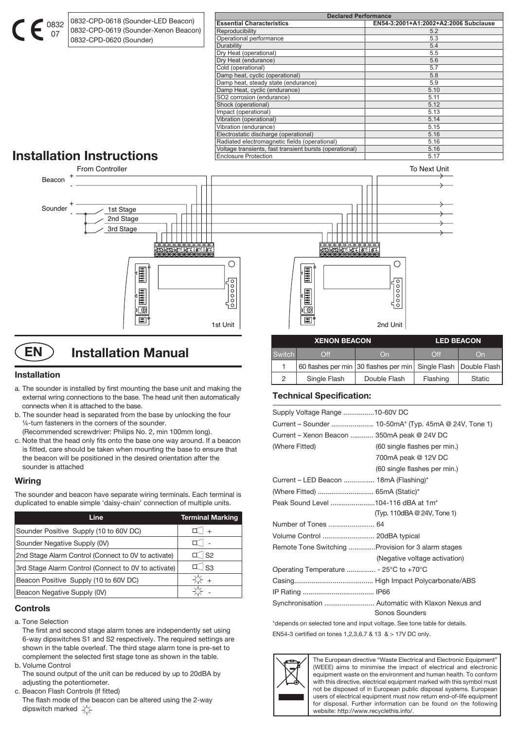0832-CPD-0618 (Sounder-LED Beacon) 0832-CPD-0619 (Sounder-Xenon Beacon) 0832-CPD-0620 (Sounder)

| <b>Declared Performance</b>                             |                                       |  |  |
|---------------------------------------------------------|---------------------------------------|--|--|
| <b>Essential Characteristics</b>                        | EN54-3:2001+A1:2002+A2:2006 Subclause |  |  |
| Reproducibility                                         | 5.2                                   |  |  |
| Operational performance                                 | 5.3                                   |  |  |
| Durability                                              | 5.4                                   |  |  |
| Dry Heat (operational)                                  | 5.5                                   |  |  |
| Dry Heat (endurance)                                    | 5.6                                   |  |  |
| Cold (operational)                                      | 5.7                                   |  |  |
| Damp heat, cyclic (operational)                         | 5.8                                   |  |  |
| Damp heat, steady state (endurance)                     | 5.9                                   |  |  |
| Damp Heat, cyclic (endurance)                           | 5.10                                  |  |  |
| SO2 corrosion (endurance)                               | 5.11                                  |  |  |
| Shock (operational)                                     | 5.12                                  |  |  |
| Impact (operational)                                    | 5.13                                  |  |  |
| Vibration (operational)                                 | 5.14                                  |  |  |
| Vibration (endurance)                                   | 5.15                                  |  |  |
| Electrostatic discharge (operational)                   | 5.16                                  |  |  |
| Radiated electromagnetic fields (operational)           | 5.16                                  |  |  |
| Voltage transients, fast transient bursts (operational) | 5.16                                  |  |  |
| <b>Enclosure Protection</b>                             | 5.17                                  |  |  |

# **Installation Instructions**

0832 07



**EN** ) Installation Manual

#### **Installation**

- a. The sounder is installed by first mounting the base unit and making the external wring connections to the base. The head unit then automatically connects when it is attached to the base.
- b. The sounder head is separated from the base by unlocking the four ¼-turn fasteners in the corners of the sounder. (Recommended screwdriver: Philips No. 2, min 100mm long).
- c. Note that the head only fits onto the base one way around. If a beacon is fitted, care should be taken when mounting the base to ensure that the beacon will be positioned in the desired orientation after the sounder is attached

#### **Wiring**

The sounder and beacon have separate wiring terminals. Each terminal is duplicated to enable simple 'daisy-chain' connection of multiple units.

| Line                                                | <b>Terminal Marking</b> |
|-----------------------------------------------------|-------------------------|
| Sounder Positive Supply (10 to 60V DC)              | I +                     |
| Sounder Negative Supply (0V)                        |                         |
| 2nd Stage Alarm Control (Connect to 0V to activate) | $\top$ S2               |
| 3rd Stage Alarm Control (Connect to 0V to activate) | $\perp$ S3              |
| Beacon Positive Supply (10 to 60V DC)               | $+$                     |
| Beacon Negative Supply (0V)                         |                         |

#### **Controls**

a. Tone Selection

 The first and second stage alarm tones are independently set using 6-way dipswitches S1 and S2 respectively. The required settings are shown in the table overleaf. The third stage alarm tone is pre-set to complement the selected first stage tone as shown in the table. b. Volume Control

 The sound output of the unit can be reduced by up to 20dBA by adjusting the potentiometer.

c. Beacon Flash Controls (If fitted)

 The flash mode of the beacon can be altered using the 2-way dipswitch marked  $\overleftrightarrow{\chi}$ 

| <b>Switch</b> | $\bigcap\limits_{i=1}^n\mathsf{f}_i$ | On.                                                             | ∩ff      | On.    |
|---------------|--------------------------------------|-----------------------------------------------------------------|----------|--------|
|               |                                      | 60 flashes per min 30 flashes per min Single Flash Double Flash |          |        |
|               | Single Flash                         | Double Flash                                                    | Flashing | Static |
|               |                                      |                                                                 |          |        |

**XENON BEACON LED BEACON**

#### **Technical Specification:**

| Supply Voltage Range 10-60V DC                     |                                                       |
|----------------------------------------------------|-------------------------------------------------------|
|                                                    | Current - Sounder  10-50mA* (Typ. 45mA @ 24V, Tone 1) |
| Current - Xenon Beacon  350mA peak @ 24V DC        |                                                       |
| (Where Fitted)                                     | (60 single flashes per min.)                          |
|                                                    | 700mA peak @ 12V DC                                   |
|                                                    | (60 single flashes per min.)                          |
| Current – LED Beacon  18mA (Flashing)*             |                                                       |
|                                                    |                                                       |
| Peak Sound Level 104-116 dBA at 1m <sup>*</sup>    |                                                       |
|                                                    | (Typ. 110dBA @ 24V, Tone 1)                           |
|                                                    |                                                       |
|                                                    |                                                       |
| Remote Tone Switching Provision for 3 alarm stages |                                                       |
|                                                    | (Negative voltage activation)                         |
| Operating Temperature  - 25°C to +70°C             |                                                       |
|                                                    |                                                       |
|                                                    |                                                       |
|                                                    | Synchronisation  Automatic with Klaxon Nexus and      |
|                                                    | Sonos Sounders                                        |

\*depends on selected tone and input voltage. See tone table for details. EN54-3 certified on tones 1,2,3,6,7 & 13 & > 17V DC only.



The European directive "Waste Electrical and Electronic Equipment" (WEEE) aims to minimise the impact of electrical and electronic equipment waste on the environment and human health. To conform with this directive, electrical equipment marked with this symbol must not be disposed of in European public disposal systems. European users of electrical equipment must now return end-of-life equipment for disposal. Further information can be found on the following website: http://www.recyclethis.info/.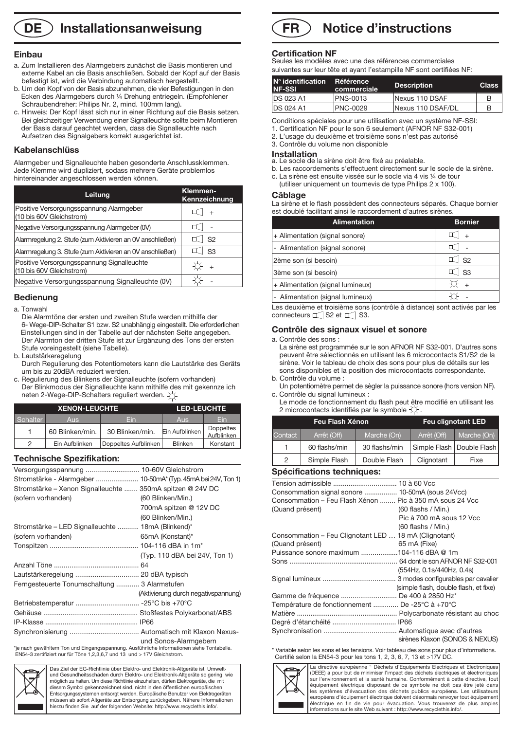### **DE** ) Installationsanweisung

#### **Einbau**

- a. Zum Installieren des Alarmgebers zunächst die Basis montieren und externe Kabel an die Basis anschließen. Sobald der Kopf auf der Basis befestigt ist, wird die Verbindung automatisch hergestellt.
- b. Um den Kopf von der Basis abzunehmen, die vier Befestigungen in den Ecken des Alarmgebers durch ¼ Drehung entriegeln. (Empfohlener Schraubendreher: Philips Nr. 2, mind. 100mm lang).
- c. Hinweis: Der Kopf lässt sich nur in einer Richtung auf die Basis setzen. Bei gleichzeitiger Verwendung einer Signalleuchte sollte beim Montieren der Basis darauf geachtet werden, dass die Signalleuchte nach Aufsetzen des Signalgebers korrekt ausgerichtet ist.

#### **Kabelanschlüss**

Alarmgeber und Signalleuchte haben gesonderte Anschlussklemmen. Jede Klemme wird dupliziert, sodass mehrere Geräte problemlos hintereinander angeschlossen werden können.

| Leitung                                                                | Klemmen-<br>Kennzeichnung |
|------------------------------------------------------------------------|---------------------------|
| Positive Versorgungsspannung Alarmgeber<br>(10 bis 60V Gleichstrom)    |                           |
| Negative Versorgungsspannung Alarmgeber (0V)                           |                           |
| Alarmregelung 2. Stufe (zum Aktivieren an OV anschließen)              | S <sub>2</sub>            |
| Alarmregelung 3. Stufe (zum Aktivieren an OV anschließen)              | S3                        |
| Positive Versorgungsspannung Signalleuchte<br>(10 bis 60V Gleichstrom) | $+$                       |
| Negative Versorgungsspannung Signalleuchte (0V)                        |                           |

#### **Bedienung**

#### a. Tonwahl

 Die Alarmtöne der ersten und zweiten Stufe werden mithilfe der 6- Wege-DIP-Schalter S1 bzw. S2 unabhängig eingestellt. Die erforderlichen Einstellungen sind in der Tabelle auf der nächsten Seite angegeben. Der Alarmton der dritten Stufe ist zur Ergänzung des Tons der ersten Stufe voreingestellt (siehe Tabelle).

- b. Lautstärkeregelung
- Durch Regulierung des Potentiometers kann die Lautstärke des Geräts um bis zu 20dBA reduziert werden.
- c. Regulierung des Blinkens der Signalleuchte (sofern vorhanden) Der Blinkmodus der Signalleuchte kann mithilfe des mit gekennze ich neten 2-Wege-DIP-Schalters reguliert werden.  $\pm$

|          | <b>XENON-LEUCHTE</b> | <b>LED-LEUCHTE</b>   |                |                         |
|----------|----------------------|----------------------|----------------|-------------------------|
| Schalter | <b>Aus</b>           | Fin                  | <b>Aus</b>     | Fin                     |
|          | 60 Blinken/min.      | 30 Blinken/min.      | Ein Aufblinken | Doppeltes<br>Aufblinken |
| 2        | Ein Aufblinken       | Doppeltes Aufblinken | <b>Blinken</b> | Konstant                |

#### **Technische Spezifikation:**

| Versorgungsspannung  10-60V Gleichstrom                                                   |                                     |
|-------------------------------------------------------------------------------------------|-------------------------------------|
|                                                                                           |                                     |
| Stromstärke – Xenon Signalleuchte  350mA spitzen @ 24V DC                                 |                                     |
| (sofern vorhanden)                                                                        | (60 Blinken/Min.)                   |
|                                                                                           | 700mA spitzen @ 12V DC              |
|                                                                                           | (60 Blinken/Min.)                   |
| Stromstärke – LED Signalleuchte  18mA (Blinkend)*                                         |                                     |
| (sofern vorhanden)                                                                        | 65mA (Konstant)*                    |
|                                                                                           |                                     |
|                                                                                           | (Typ. 110 dBA bei 24V, Ton 1)       |
|                                                                                           |                                     |
|                                                                                           |                                     |
| Ferngesteuerte Tonumschaltung  3 Alarmstufen                                              |                                     |
|                                                                                           | (Aktivierung durch negativspannung) |
|                                                                                           |                                     |
|                                                                                           |                                     |
|                                                                                           |                                     |
|                                                                                           |                                     |
| *je nach gewähltem Ton und Eingangsspannung. Ausführliche Informationen siehe Tontabelle. | und Sonos-Alarmgebern               |

\*je nach gewähltem Ton und Eingangsspannung. Ausführliche Informationen siehe Tontabelle. EN54-3 zertifiziert nur für Töne 1,2,3,6,7 und 13 und > 17V Gleichstrom.



Das Ziel der EG-Richtlinie über Elektro- und Elektronik-Altgeräte ist, Umweltund Gesundheitsschäden durch Elektro- und Elektronik-Altgeräte so gering wie möglich zu halten. Um diese Richtlinie einzuhalten, dürfen Elektrogeräte, die mit diesem Symbol gekennzeichnet sind, nicht in den öffentlichen europäischen Entsorgungssystemen entsorgt werden. Europäische Benutzer von Elektrogeräten müssen ab sofort Altgeräte zur Entsorgung zurückgeben. Nähere Informationen hierzu finden Sie auf der folgenden Website: http://www.recyclethis.info/.

#### **Notice d'instructions FR**

#### **Certification NF**

Seules les modèles avec une des références commerciales suivantes sur leur tête et ayant l'estampille NF sont certifiées NF:

| $No$ identification<br><b>NF-SSI</b> | Référence<br>commerciale | <b>Description</b> | <b>Class</b> |
|--------------------------------------|--------------------------|--------------------|--------------|
| <b>DS 023 A1</b>                     | PNS-0013                 | Nexus 110 DSAF     | B            |
| <b>DS 024 A1</b>                     | <b>PNC-0029</b>          | Nexus 110 DSAF/DL  | B            |
|                                      |                          |                    |              |

Conditions spéciales pour une utilisation avec un système NF-SSI:

1. Certification NF pour le son 6 seulement (AFNOR NF S32-001)

2. L'usage du deuxième et troisième sons n'est pas autorisé

3. Contrôle du volume non disponible

**Installation** a. Le socle de la sirène doit être fixé au préalable.

- b. Les raccordements s'effectuent directement sur le socle de la sirène.
- c. La sirène est ensuite vissée sur le socle via 4 vis ¼ de tour
- (utiliser uniquement un tournevis de type Philips 2 x 100).

#### **Câblage**

La sirène et le flash possèdent des connecteurs séparés. Chaque bornier est doublé facilitant ainsi le raccordement d'autres sirènes.

| <b>Alimentation</b>                                                       | <b>Bornier</b>     |
|---------------------------------------------------------------------------|--------------------|
| + Alimentation (signal sonore)                                            |                    |
| - Alimentation (signal sonore)                                            |                    |
| 2ème son (si besoin)                                                      | $ $ S <sub>2</sub> |
| 3ème son (si besoin)                                                      |                    |
| + Alimentation (signal lumineux)                                          | $+$                |
| - Alimentation (signal lumineux)                                          |                    |
| Les deuxième et troisième sons (contrôle à distance) sont activés par les |                    |

Les deuxième et troisième sons (contrôle à distance) sont activés par les connecteurs  $\Box$  S2 et  $\Box$  S3.

#### **Contrôle des signaux visuel et sonore**

a. Contrôle des sons :

 La sirène est programmée sur le son AFNOR NF S32-001. D'autres sons peuvent être sélectionnés en utilisant les 6 microcontacts S1/S2 de la sirène. Voir le tableau de choix des sons pour plus de détails sur les sons disponibles et la position des microcontacts correspondante. b. Contrôle du volume :

- Un potentiomètre permet de sègler la puissance sonore (hors version NF). c. Contrôle du signal lumineux :
- Le mode de fonctionnement du flash peut être modifié en utilisant les 2 microcontacts identifiés par le symbole  $\chi$ .

| Feu Flash Xénon |               |               | <b>Feu clignotant LED</b> |                             |  |
|-----------------|---------------|---------------|---------------------------|-----------------------------|--|
| Contact         | Arrêt (Off)   | Marche (On)   | Arrêt (Off)               | Marche (On)                 |  |
| 1               | 60 flashs/min | 30 flashs/min |                           | Simple Flash   Double Flash |  |
| 2               | Simple Flash  | Double Flash  | Clignotant                | Fixe                        |  |
|                 |               |               |                           |                             |  |

#### **Spécifications techniques:**

| Consommation signal sonore  10-50mA (sous 24Vcc)         |                                       |
|----------------------------------------------------------|---------------------------------------|
| Consommation – Feu Flash Xénon  Pic à 350 mA sous 24 Vcc |                                       |
| (Quand présent)                                          | $(60$ flashs / Min.)                  |
|                                                          | Pic à 700 mA sous 12 Vcc              |
|                                                          | $(60$ flashs / Min.)                  |
| Consommation - Feu Clignotant LED  18 mA (Clignotant)    |                                       |
| (Quand présent)                                          | 65 mA (Fixe)                          |
| Puissance sonore maximum 104-116 dBA @ 1m                |                                       |
|                                                          |                                       |
|                                                          | (554Hz, 0.1s/440Hz, 0.4s)             |
|                                                          |                                       |
|                                                          | (simple flash, double flash, et fixe) |
| Gamme de fréquence  De 400 à 2850 Hz*                    |                                       |
| Température de fonctionnement  De -25°C à +70°C          |                                       |
|                                                          |                                       |
|                                                          |                                       |
|                                                          |                                       |
|                                                          | sirènes Klaxon (SONOS & NEXUS)        |

\* Variable selon les sons et les tensions. Voir tableau des sons pour plus d'informations. Certifié selon la EN54-3 pour les tons 1, 2, 3, 6, 7, 13 et >17V DC.



La directive européenne " Déchets d'Equipements Electriques et Electroniques (DEEE) a pour but de minimiser l'impact des déchets électriques et électronique sur l'environnement et la santé humaine. Conformément à cette directive, tout équipement électrique disposant de ce symbole ne doit pas être jeté dans les systèmes d'évacuation des déchets publics européens. Les utilisateurs européens d'équipement électrique doivent désormais renvoyer tout équipement électrique en fin de vie pour évacuation. Vous trouverez de plus amples informations sur le site Web suivant : http://www.recyclethis.info/.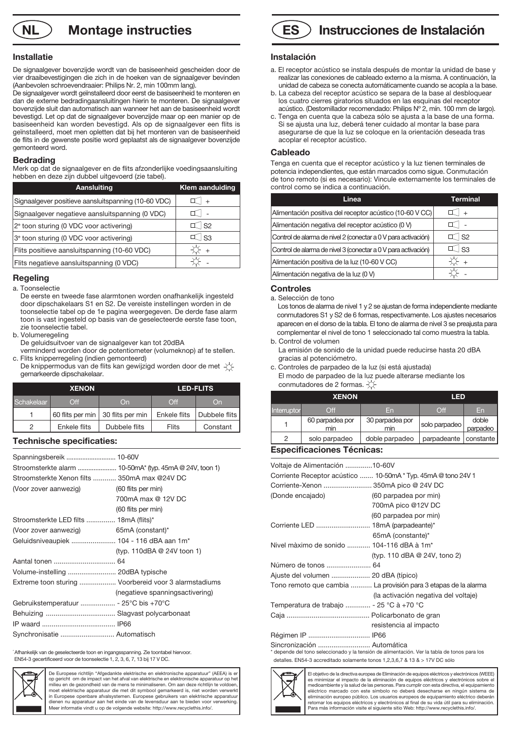**NL**  $\bigcirc$  **Montage instructies** 

#### **Installatie**

De signaalgever bovenzijde wordt van de basiseenheid gescheiden door de vier draaibevestigingen die zich in de hoeken van de signaalgever bevinden (Aanbevolen schroevendraaier: Philips Nr. 2, min 100mm lang).

De signaalgever wordt geïnstalleerd door eerst de basiseenheid te monteren en dan de externe bedradingaansluitingen hierin te monteren. De signaalgever bovenzijde sluit dan automatisch aan wanneer het aan de basiseenheid wordt bevestigd. Let op dat de signaalgever bovenzijde maar op een manier op de basiseenheid kan worden bevestigd. Als op de signaalgever een flits is geïnstalleerd, moet men opletten dat bij het monteren van de basiseenheid de flits in de gewenste positie word geplaatst als de signaalgever bovenzijde gemonteerd word.

#### **Bedrading**

Merk op dat de signaalgever en de flits afzonderlijke voedingsaansluiting hebben en deze zijn dubbel uitgevoerd (zie tabel).

| Aansluiting                                         | <b>Klem aanduiding</b> |
|-----------------------------------------------------|------------------------|
| Signaalgever positieve aansluitspanning (10-60 VDC) | $+$                    |
| Signaalgever negatieve aansluitspanning (0 VDC)     |                        |
| 2 <sup>e</sup> toon sturing (0 VDC voor activering) | $\mathbb{I}$ s2        |
| 3 <sup>e</sup> toon sturing (0 VDC voor activering) | $ $ S3                 |
| Flits positieve aansluitspanning (10-60 VDC)        | ⊱ +                    |
| Flits negatieve aansluitspanning (0 VDC)            |                        |

#### **Regeling**

a. Toonselectie

- De eerste en tweede fase alarmtonen worden onafhankelijk ingesteld door dipschakelaars S1 en S2. De vereiste instellingen worden in de toonselectie tabel op de 1e pagina weergegeven. De derde fase alarm toon is vast ingesteld op basis van de geselecteerde eerste fase toon, zie toonselectie tabel.
- b. Volumeregeling
- De geluidsuitvoer van de signaalgever kan tot 20dBA
- verminderd worden door de potentiometer (volumeknop) af te stellen. c. Flits knipperregeling (indien gemonteerd)
- De knippermodus van de flits kan gewijzigd worden door de met  $-\left(\frac{1}{2}\right)$ gemarkeerde dipschakelaar.

| <b>XENON</b> |              |                                     | <b>LED-FLITS</b> |               |
|--------------|--------------|-------------------------------------|------------------|---------------|
| Schakelaar   | $\Omega$ ff  | On                                  | Off              | On            |
|              |              | 60 flits per min   30 flits per min | Enkele flits     | Dubbele flits |
| 2            | Enkele flits | Dubbele flits                       | Flits            | Constant      |

#### **Technische specificaties:**

| Stroomsterkte Xenon filts  350mA max @24V DC |                                                       |
|----------------------------------------------|-------------------------------------------------------|
| (Voor zover aanwezig)                        | (60 flits per min)                                    |
|                                              | 700mA max @ 12V DC                                    |
|                                              | (60 flits per min)                                    |
| Stroomsterkte LED filts  18mA (flits)*       |                                                       |
| (Voor zover aanwezig)                        | 65mA (constant)*                                      |
| Geluidsniveaupiek  104 - 116 dBA aan 1m*     |                                                       |
|                                              | (typ. 110dBA @ 24V toon 1)                            |
|                                              |                                                       |
| Volume-instelling  20dBA typische            |                                                       |
|                                              | Extreme toon sturing  Voorbereid voor 3 alarmstadiums |
|                                              | (negatieve spanningsactivering)                       |
|                                              |                                                       |
|                                              |                                                       |
|                                              |                                                       |
| Synchronisatie  Automatisch                  |                                                       |

\* Afhankelijk van de geselecteerde toon en ingangsspanning. Zie toontabel hiervoor. EN54-3 gecertificeerd voor de toonselectie 1, 2, 3, 6, 7, 13 bij 17 V DC.



De Europese richtlijn "Afgedankte elektrische en elektronische apparatuur" (AEEA) is er op gericht om de impact van het afval van elektrische en elektronische apparatuur op het milieu en de gezondheid van de mens te minimaliseren. Om aan deze richtlijn te voldoen moet elektrische apparatuur die met dit symbool gemarkeerd is, niet worden verwerkt in Europese openbare afvalsystemen. Europese gebruikers van elektrische apparatuur dienen nu apparatuur aan het einde van de levensduur aan te bieden voor verwerking. Meer informatie vindt u op de volgende website: http://www.recyclethis.info/.



#### **Instalación**

- a. El receptor acústico se instala después de montar la unidad de base y realizar las conexiones de cableado externo a la misma. A continuación, la unidad de cabeza se conecta automáticamente cuando se acopla a la base.
- b. La cabeza del receptor acústico se separa de la base al desbloquear los cuatro cierres giratorios situados en las esquinas del receptor acústico. (Destornillador recomendado: Philips Nº 2, mín. 100 mm de largo).
- c. Tenga en cuenta que la cabeza sólo se ajusta a la base de una forma. Si se ajusta una luz, deberá tener cuidado al montar la base para asegurarse de que la luz se coloque en la orientación deseada tras acoplar el receptor acústico.

#### **Cableado**

Tenga en cuenta que el receptor acústico y la luz tienen terminales de potencia independientes, que están marcados como sigue. Conmutación de tono remoto (si es necesario): Vincule externamente los terminales de control como se indica a continuación.

| Linea                                                         | Terminal  |
|---------------------------------------------------------------|-----------|
| Alimentación positiva del receptor acústico (10-60 V CC)      | $+$       |
| Alimentación negativa del receptor acústico (0 V)             |           |
| Control de alarma de nivel 2 (conectar a 0 V para activación) | $\top$ S2 |
| Control de alarma de nivel 3 (conectar a 0 V para activación) | ်  S3     |
| Alimentación positiva de la luz (10-60 V CC)                  | $+$       |
| Alimentación negativa de la luz (0 V)                         |           |

#### **Controles**

a. Selección de tono

 Los tonos de alarma de nivel 1 y 2 se ajustan de forma independiente mediante conmutadores S1 y S2 de 6 formas, respectivamente. Los ajustes necesarios aparecen en el dorso de la tabla. El tono de alarma de nivel 3 se preajusta para complementar el nivel de tono 1 seleccionado tal como muestra la tabla. b. Control de volumen

- La emisión de sonido de la unidad puede reducirse hasta 20 dBA gracias al potenciómetro.
- c. Controles de parpadeo de la luz (si está ajustada) El modo de parpadeo de la luz puede alterarse mediante los conmutadores de 2 formas.

| <b>XENON</b> |                        |                        | <b>LED</b>    |                   |
|--------------|------------------------|------------------------|---------------|-------------------|
| Interruptor  | $\Omega$ ff            | En                     | Off           | En                |
|              | 60 parpadea por<br>min | 30 parpadea por<br>min | solo parpadeo | doble<br>parpadeo |
| っ            | solo parpadeo          | doble parpadeo         | parpadeante   | constante         |

#### **Especificaciones Técnicas:**

| Voltaje de Alimentación 10-60V                                |                                                                                              |
|---------------------------------------------------------------|----------------------------------------------------------------------------------------------|
| Corriente Receptor acústico  10-50mA * Typ. 45mA @ tono 24V 1 |                                                                                              |
| Corriente-Xenon  350mA pico @ 24V DC                          |                                                                                              |
| (Donde encajado)                                              | (60 parpadea por min)                                                                        |
|                                                               | 700mA pico @12V DC                                                                           |
|                                                               | (60 parpadea por min)                                                                        |
| Corriente LED  18mA (parpadeante)*                            |                                                                                              |
|                                                               | 65mA (constante)*                                                                            |
| Nivel màximo de sonido  104-116 dBA à 1m <sup>*</sup>         |                                                                                              |
|                                                               | (typ. 110 dBA @ 24V, tono 2)                                                                 |
| Número de tonos  64                                           |                                                                                              |
| Ajuste del volumen  20 dBA (típico)                           |                                                                                              |
|                                                               | Tono remoto que cambia  La provisión para 3 etapas de la alarma                              |
|                                                               | (la activación negativa del voltaje)                                                         |
| Temperatura de trabajo  - 25 °C à +70 °C                      |                                                                                              |
|                                                               |                                                                                              |
|                                                               | resistencia al impacto                                                                       |
| Régimen IP  IP66                                              |                                                                                              |
| Sincronización  Automática                                    | * depende del tono seleccionado y la tensión de alimentación. Ver la tabla de tonos para los |

detalles. EN54-3 accreditado solamente tonos 1,2,3,6,7 & 13 & > 17V DC sólo



El objetivo de la directiva europea de Eliminación de equipos eléctricos y electrónicos (WEEE) es minimizar el impacto de la eliminación de equipos eléctricos y electrónicos sobre el medioambiente y la salud de las personas. Para cumplir con esta directiva, el equipamiento eléctrico marcado con este símbolo no deberá desecharse en ningún sistema de eliminación europeo público. Los usuarios europeos de equipamiento eléctrico deberán retornar los equipos eléctricos y electrónicos al final de su vida útil para su eliminación. Para más información visite el siguiente sitio Web: http://www.recyclethis.info/.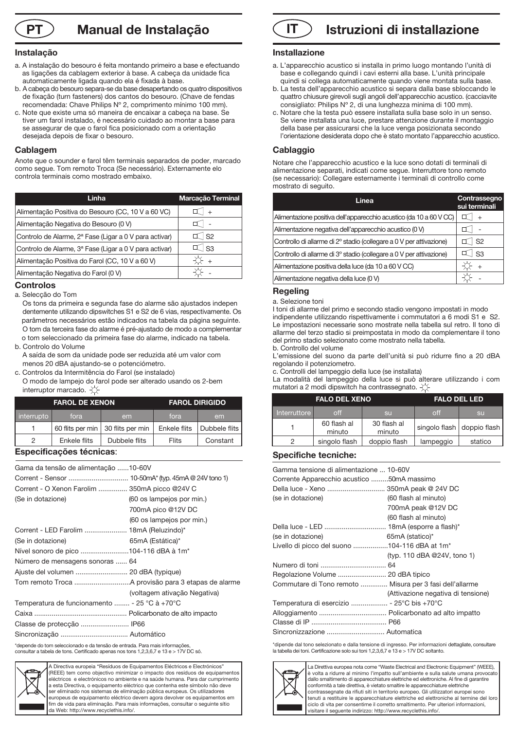**Manual de Instalação**

#### **Instalação**

- a. A instalação do besouro é feita montando primeiro a base e efectuando as ligações da cablagem exterior à base. A cabeça da unidade fica automaticamente ligada quando ela é fixada à base.
- b. A cabeça do besouro separa-se da base desapertando os quatro dispositivos de fixação (turn fasteners) dos cantos do besouro. (Chave de fendas recomendada: Chave Philips Nº 2, comprimento mínimo 100 mm).
- c. Note que existe uma só maneira de encaixar a cabeça na base. Se tiver um farol instalado, é necessário cuidado ao montar a base para se assegurar de que o farol fica posicionado com a orientação desejada depois de fixar o besouro.

#### **Cablagem**

Anote que o sounder e farol têm terminais separados de poder, marcado como segue. Tom remoto Troca (Se necessário). Externamente elo controla terminais como mostrado embaixo.

| Linha                                                              | Marcação Terminal   |
|--------------------------------------------------------------------|---------------------|
| Alimentação Positiva do Besouro (CC, 10 V a 60 VC)                 | $+$                 |
| Alimentação Negativa do Besouro (0 V)                              |                     |
| Controlo de Alarme, 2 <sup>ª</sup> Fase (Ligar a 0 V para activar) | $\mathbb{I}$ S2     |
| Controlo de Alarme, 3ª Fase (Ligar a 0 V para activar)             | $\mathbb{I}$ $ $ S3 |
| Alimentação Positiva do Farol (CC, 10 V a 60 V)                    | $+$                 |
| Alimentação Negativa do Farol (0 V)                                |                     |

#### **Controlos**

a. Selecção do Tom

 Os tons da primeira e segunda fase do alarme são ajustados indepen dentemente utilizando dipswitches S1 e S2 de 6 vias, respectivamente. Os parâmetros necessários estão indicados na tabela da página seguinte. O tom da terceira fase do alarme é pré-ajustado de modo a complementar o tom seleccionado da primeira fase do alarme, indicado na tabela.

b. Controlo do Volume

 A saída de som da unidade pode ser reduzida até um valor com menos 20 dBA ajustando-se o potenciómetro.

c. Controlos da Intermitência do Farol (se instalado)

 O modo de lampejo do farol pode ser alterado usando os 2-bem interruptor marcado.  $\overleftrightarrow{\bigcirc}$ 

| <b>FAROL DE XENON</b> |              |                                     | <b>FAROL DIRIGIDO</b> |               |
|-----------------------|--------------|-------------------------------------|-----------------------|---------------|
| interrupto            | fora         | em                                  | fora                  | em            |
|                       |              | 60 flits per min   30 flits per min | Enkele flits          | Dubbele flits |
| っ                     | Enkele flits | Dubbele flits                       | Flits                 | Constant      |

#### **Especificações técnicas**:

| Gama da tensão de alimentação 10-60V          |                              |
|-----------------------------------------------|------------------------------|
|                                               |                              |
| Corrent - O Xenon Farolim  350mA picco @24V C |                              |
| (Se in dotazione)                             | (60 os lampejos por min.)    |
|                                               | 700mA pico @12V DC           |
|                                               | (60 os lampejos por min.)    |
| Corrent - LED Farolim  18mA (Reluzindo)*      |                              |
| (Se in dotazione)                             | 65mA (Estática)*             |
| Nível sonoro de pico 104-116 dBA à 1m*        |                              |
| Número de mensagens sonoras  64               |                              |
|                                               |                              |
|                                               |                              |
|                                               | (voltagem ativação Negativa) |
| Temperatura de funcionamento  - 25 °C à +70°C |                              |
|                                               |                              |
|                                               |                              |
|                                               |                              |
|                                               |                              |

\*depende do tom seleccionado e da tensão de entrada. Para mais informações, consultar a tabela de tons. Certificado apenas nos tons 1,2,3,6,7 e 13 e > 17V DC só.



Directiva europeia "Resíduos de Equipamentos Eléctricos e Electrónicos" (REEE) tem como objectivo minimizar o impacto dos resíduos de equipamentos eléctricos e electrónicos no ambiente e na saúde humana. Para dar cumprimento a esta Directiva, o equipamento eléctrico que contenha este símbolo não deve ser eliminado nos sistemas de eliminação pública europeus. Os utilizadores europeus de equipamento eléctrico devem agora devolver os equipamentos em fim de vida para eliminação. Para mais informações, consultar o seguinte sítio da Web: http://www.recyclethis.info/.



#### **Installazione**

- a. L'apparecchio acustico si installa in primo luogo montando l'unità di base e collegando quindi i cavi esterni alla base. L'unità principale quindi si collega automaticamente quando viene montata sulla base.
- b. La testa dell'apparecchio acustico si separa dalla base sbloccando le quattro chiusure girevoli sugli angoli dell'apparecchio acustico. (cacciavite consigliato: Philips Nº 2, di una lunghezza minima di 100 mm).
- c. Notare che la testa può essere installata sulla base solo in un senso. Se viene installata una luce, prestare attenzione durante il montaggio della base per assicurarsi che la luce venga posizionata secondo l'orientazione desiderata dopo che è stato montato l'apparecchio acustico.

#### **Cablaggio**

Notare che l'apparecchio acustico e la luce sono dotati di terminali di alimentazione separati, indicati come segue. Interruttore tono remoto (se necessario): Collegare esternamente i terminali di controllo come mostrato di seguito.

| Linea                                                               | Contrassegno<br>sui terminali |
|---------------------------------------------------------------------|-------------------------------|
| Alimentazione positiva dell'apparecchio acustico (da 10 a 60 V CC)  |                               |
| Alimentazione negativa dell'apparecchio acustico (0 V)              |                               |
| Controllo di allarme di 2º stadio (collegare a 0 V per attivazione) | $\mathsf{S}2$                 |
| Controllo di allarme di 3º stadio (collegare a 0 V per attivazione) | $\vert$ S3                    |
| Alimentazione positiva della luce (da 10 a 60 V CC)                 |                               |
| Alimentazione negativa della luce (0 V)                             |                               |

#### **Regeling**

a. Selezione toni

I toni di allarme del primo e secondo stadio vengono impostati in modo indipendente utilizzando rispettivamente i commutatori a 6 modi S1 e S2. Le impostazioni necessarie sono mostrate nella tabella sul retro. Il tono di allarme del terzo stadio si preimpostata in modo da complementare il tono del primo stadio selezionato come mostrato nella tabella. b. Controllo del volume

L'emissione del suono da parte dell'unità si può ridurre fino a 20 dBA regolando il potenziometro.

c. Controlli del lampeggio della luce (se installata)

La modalità del lampeggio della luce si può alterare utilizzando i com mutatori a 2 modi dipswitch ha contrassegnato.  $\Diamond$ 

| <b>FALO DEL XENO</b> |                       | <b>FALO DEL LED</b>   |           |                              |
|----------------------|-----------------------|-----------------------|-----------|------------------------------|
| Interruttore         | off                   | <b>SU</b>             | off       | <b>SU</b>                    |
|                      | 60 flash al<br>minuto | 30 flash al<br>minuto |           | singolo flash   doppio flash |
| 2                    | singolo flash         | doppio flash          | lampeggio | statico                      |

#### **Specifiche tecniche:**

| Gamma tensione di alimentazione  10-60V<br>Corrente Apparecchio acustico 50mA massimo<br>Della luce - Xeno  350mA peak @ 24V DC<br>(se in dotazione) | (60 flash al minuto)               |
|------------------------------------------------------------------------------------------------------------------------------------------------------|------------------------------------|
|                                                                                                                                                      | 700mA peak @12V DC                 |
|                                                                                                                                                      | (60 flash al minuto)               |
|                                                                                                                                                      |                                    |
| (se in dotazione)                                                                                                                                    | 65mA (statico)*                    |
| Livello di picco del suono 104-116 dBA at 1m <sup>*</sup>                                                                                            |                                    |
|                                                                                                                                                      | (typ. 110 dBA @24V, tono 1)        |
|                                                                                                                                                      |                                    |
| Regolazione Volume  20 dBA tipico                                                                                                                    |                                    |
| Commutare di Tono remoto  Misura per 3 fasi dell'allarme                                                                                             | (Attivazione negativa di tensione) |
| Temperatura di esercizio  - 25°C bis +70°C                                                                                                           |                                    |
|                                                                                                                                                      |                                    |
|                                                                                                                                                      |                                    |
|                                                                                                                                                      |                                    |

\*dipende dal tono selezionato e dalla tensione di ingresso. Per informazioni dettagliate, consultare la tabella dei toni. Certificazione solo sui toni 1,2,3,6,7 e 13 e > 17V DC soltanto.



La Direttiva europea nota come "Waste Electrical and Electronic Equipment" (WEEE), è volta a ridurre al minimo l'impatto sull'ambiente e sulla salute umana provocato dallo smaltimento di apparecchiature elettriche ed elettroniche. Al fine di garantire conformità a tale direttiva, è vietato smaltire le apparecchiature elettriche contrassegnate da rifiuti siti in territorio europeo. Gli utilizzatori europei sono tenuti a restituire le apparecchiature elettriche ed elettroniche al termine del lor ciclo di vita per consentirne il corretto smaltimento. Per ulteriori informazioni, visitare il seguente indirizzo: http://www.recyclethis.info/.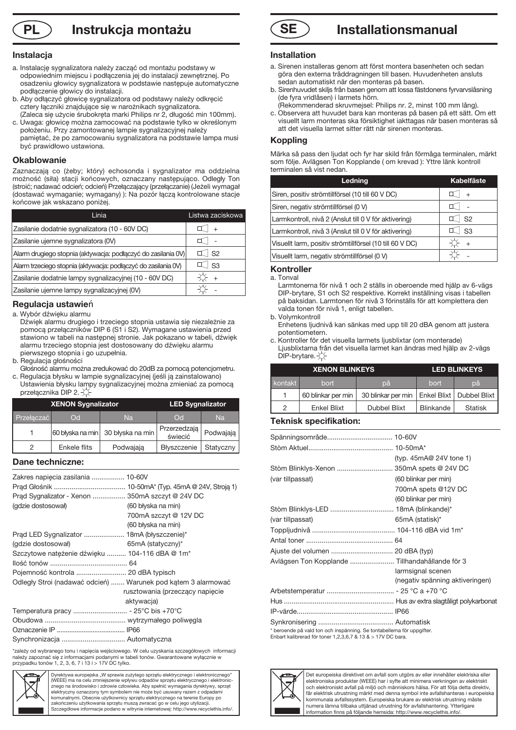### **PL Instrukcja montażu SE**

#### **Instalacja**

- a. Instalację sygnalizatora należy zacząć od montażu podstawy w odpowiednim miejscu i podłączenia jej do instalacji zewnętrznej. Po osadzeniu głowicy sygnalizatora w podstawie następuje automatyczne podłączenie głowicy do instalacji.
- b. Aby odłączyć głowicę sygnalizatora od podstawy należy odkręcić cztery łączniki znajdujące się w narożnikach sygnalizatora. (Zaleca się użycie śrubokręta marki Philips nr 2, długość min 100mm).
- c. Uwaga: głowicę można zamocować na podstawie tylko w określonym położeniu. Przy zamontowanej lampie sygnalizacyjnej należy pamiętać, że po zamocowaniu sygnalizatora na podstawie lampa musi być prawidłowo ustawiona.

#### **Okablowanie**

Zaznaczają co (żeby; który) echosonda i sygnalizator ma oddzielna możność (siła) stacji końcowych, oznaczany następująco. Odległy Ton (stroić; nadawać odcień; odcień) Przełączający (przełączanie) (Jeżeli wymagał (dostawać wymaganie; wymagany) ): Na pozór łączą kontrolowane stacje końcowe jak wskazano poniżej.

| Linia                                                          | Listwa zaciskowa |
|----------------------------------------------------------------|------------------|
| Zasilanie dodatnie sygnalizatora (10 - 60V DC)                 |                  |
| Zasilanie ujemne sygnalizatora (0V)                            |                  |
| Alarm drugiego stopnia (aktywacja: podłączyć do zasilania 0V)  | S <sub>2</sub>   |
| Alarm trzeciego stopnia (aktywacja: podłączyć do zasilania 0V) | - S <sub>3</sub> |
| Zasilanie dodatnie lampy sygnalizacyjnej (10 - 60V DC)         |                  |
| Zasilanie ujemne lampy sygnalizacyjnej (0V)                    |                  |

### **Regulacja ustawie**ń

a. Wybór dźwięku alarmu

- Dźwięk alarmu drugiego i trzeciego stopnia ustawia się niezależnie za pomocą przełączników DIP 6 (S1 i S2). Wymagane ustawienia przed stawiono w tabeli na następnej stronie. Jak pokazano w tabeli, dźwięk alarmu trzeciego stopnia jest dostosowany do dźwięku alarmu pierwszego stopnia i go uzupełnia.
- b. Regulacja głośności
- Głośność alarmu można zredukować do 20dB za pomocą potencjometru. c. Regulacja błysku w lampie sygnalizacyjnej (jeśli ją zainstalowano)
- Ustawienia błysku lampy sygnalizacyjnej można zmieniać za pomocą przełącznika DIP 2. XX

| <b>XENON Sygnalizator</b> |                  | <b>LED Sygnalizator</b> |                                      |           |
|---------------------------|------------------|-------------------------|--------------------------------------|-----------|
| Przełaczać                | $\overline{C}$   | Na                      | $\overline{C}$                       | Na        |
|                           | 60 błyska na min | 30 błyska na min        | Przerzedzają <sup>1</sup><br>świecić | Podwajają |
| Ω                         | Enkele flits     | Podwajaja               | Błyszczenie                          | Statyczny |

#### **Dane techniczne:**

| Zakres napięcia zasilania  10-60V                             |                                 |
|---------------------------------------------------------------|---------------------------------|
|                                                               |                                 |
| Prad Sygnalizator - Xenon  350mA szczyt @ 24V DC              |                                 |
| (qdzie dostosował)                                            | (60 błyska na min)              |
|                                                               | 700mA szczyt @ 12V DC           |
|                                                               | (60 błyska na min)              |
| Prąd LED Sygnalizator  18mA (błyszczenie)*                    |                                 |
| (gdzie dostosował)                                            | $65mA$ (statyczny)*             |
| Szczytowe nateżenie dźwieku  104-116 dBA @ 1m*                |                                 |
|                                                               |                                 |
| Pojemność kontrola  20 dBA typisch                            |                                 |
| Odległy Stroi (nadawać odcień)  Warunek pod kątem 3 alarmować |                                 |
|                                                               | rusztowania (przeczący napięcie |
|                                                               | aktywacja)                      |
| Temperatura pracy  - 25°C bis +70°C                           |                                 |
|                                                               |                                 |
|                                                               |                                 |
| Synchronizacja  Automatyczna                                  |                                 |

\*zależy od wybranego tonu i napięcia wejściowego. W celu uzyskania szczegółowych informacji<br>należy zapoznać się z informacjami podanymi w tabeli tonów. Gwarantowane wyłącznie w<br>przypadku tonów 1, 2, 3, 6, 7 i 13 i > 17V D



Dyrektywa europejska "W sprawie zużytego sprzętu elektrycznego i elektronicznego (WEEE) ma na celu zmniejszenie wpływu odpadów sprzętu elektrycznego i elektronic-znego na środowisko i zdrowie człowieka. Aby spełnić wymagania dyrektywy, sprzęt elektryczny oznaczony tym symbolem nie może być usuwany razem z odpad komunalnymi. Obecnie użytkownicy sprzętu elektrycznego na terenie Europy po zakończeniu użytkowania sprzętu muszą zwracać go w celu jego utylizacji. Szczegółowe informacje podano w witrynie internetowej: http://www.recyclethis.info/.



#### **Installation**

- a. Sirenen installeras genom att först montera basenheten och sedan göra den externa tråddragningen till basen. Huvudenheten ansluts sedan automatiskt när den monteras på basen.
- b. Sirenhuvudet skiljs från basen genom att lossa fästdonens fyrvarvslåsning (de fyra vridlåsen) i larmets hörn.
- (Rekommenderad skruvmejsel: Philips nr. 2, minst 100 mm lång).
- c. Observera att huvudet bara kan monteras på basen på ett sätt. Om ett visuellt larm monteras ska försiktighet iakttagas när basen monteras så att det visuella larmet sitter rätt när sirenen monteras.

#### **Koppling**

Märka så pass den ljudat och fyr har skild från förmåga terminalen, märkt som följe. Avlägsen Ton Kopplande ( om krevad ): Yttre länk kontroll terminalen så vist nedan.

| Ledning                                                  | <b>Kabelfäste</b> |
|----------------------------------------------------------|-------------------|
| Siren, positiv strömtillförsel (10 till 60 V DC)         |                   |
| Siren, negativ strömtillförsel (0 V)                     |                   |
| Larmkontroll, nivå 2 (Anslut till 0 V för aktivering)    | S <sub>2</sub>    |
| Larmkontroll, nivå 3 (Anslut till 0 V för aktivering)    | <b>S3</b>         |
| Visuellt larm, positiv strömtillförsel (10 till 60 V DC) |                   |
| Visuellt larm, negativ strömtillförsel (0 V)             |                   |

#### **Kontroller**

a. Tonval

 Larmtonerna för nivå 1 och 2 ställs in oberoende med hjälp av 6-vägs DIP-brytare, S1 och S2 respektive. Korrekt inställning visas i tabellen på baksidan. Larmtonen för nivå 3 förinställs för att komplettera den valda tonen för nivå 1, enligt tabellen.

- b. Volymkontroll Enhetens ljudnivå kan sänkas med upp till 20 dBA genom att justera potentiometern.
- c. Kontroller för det visuella larmets ljusblixtar (om monterade) Ljusblixtarna från det visuella larmet kan ändras med hjälp av 2-vägs  $DIP-$ brytare. $\chi$

| <b>XENON BLINKEYS</b> |                    |                                                 | <b>LED BLINKEYS</b> |                |
|-----------------------|--------------------|-------------------------------------------------|---------------------|----------------|
| kontakt               | bort               | рă                                              | bort                | pă             |
|                       | 60 blinkar per min | 30 blinkar per min   Enkel Blixt   Dubbel Blixt |                     |                |
| 2                     | <b>Enkel Blixt</b> | <b>Dubbel Blixt</b>                             | <b>Blinkande</b>    | <b>Statisk</b> |

#### **Teknisk specifikation:**

|                                                                        | (typ. $45mA@24V$ tone 1)        |
|------------------------------------------------------------------------|---------------------------------|
| Stòm Blinklys-Xenon  350mA spets @ 24V DC                              |                                 |
| (var tillpassat)                                                       | (60 blinkar per min)            |
|                                                                        | 700mA spets @12V DC             |
|                                                                        | (60 blinkar per min)            |
|                                                                        |                                 |
| (var tillpassat)                                                       | 65mA (statisk)*                 |
|                                                                        |                                 |
|                                                                        |                                 |
| Ajuste del volumen  20 dBA (typ)                                       |                                 |
| Avlägsen Ton Kopplande  Tillhandahållande för 3                        |                                 |
|                                                                        | larmsignal scenen               |
|                                                                        | (negativ spänning aktiveringen) |
|                                                                        |                                 |
|                                                                        |                                 |
|                                                                        |                                 |
|                                                                        |                                 |
| * beroende på vald ton och inspänning. Se tontabellerna för uppgifter. |                                 |

\* beroende på vald ton och inspänning. Se tontabellerna för uppgifter. Enbart kalibrerad för toner 1,2,3,6,7 & 13 & > 17V DC bara.



Det europeiska direktivet om avfall som utgörs av eller innehåller elektriska eller elektroniska produkter (WEEE) har i syfte att minimera verkningen av elektriskt och elektroniskt avfall på miljö och människors hälsa. För att följa detta direktiv, får elektrisk utrustning märkt med denna symbol inte avfallshanteras i europe kommunala avfallssystem. Europeiska brukare av elektrisk utrustning måste numera lämna tillbaka uttjänad utrustning för avfallshantering. Ytterligare information finns på följande hemsida: http://www.recyclethis.info/.